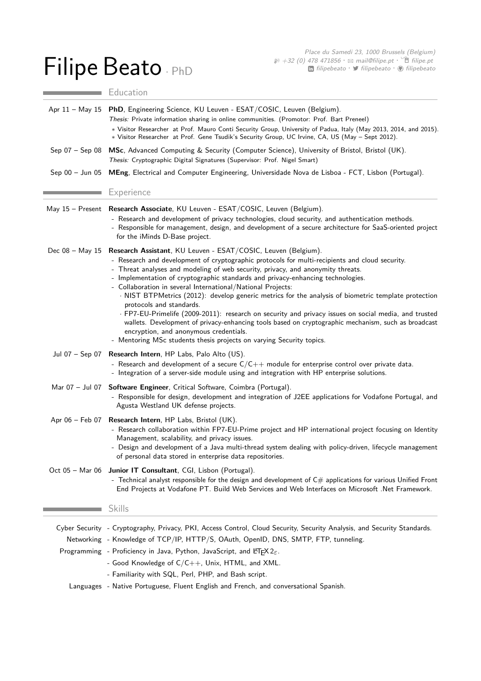## Filipe Beato · PhD

Education

|                 | Apr 11 - May 15 PhD, Engineering Science, KU Leuven - ESAT/COSIC, Leuven (Belgium).<br>Thesis: Private information sharing in online communities. (Promotor: Prof. Bart Preneel)<br>* Visitor Researcher at Prof. Mauro Conti Security Group, University of Padua, Italy (May 2013, 2014, and 2015).                                                                                                                                                                                                                                                                                                                                                                                                                                                                                                                                                                     |
|-----------------|--------------------------------------------------------------------------------------------------------------------------------------------------------------------------------------------------------------------------------------------------------------------------------------------------------------------------------------------------------------------------------------------------------------------------------------------------------------------------------------------------------------------------------------------------------------------------------------------------------------------------------------------------------------------------------------------------------------------------------------------------------------------------------------------------------------------------------------------------------------------------|
|                 | * Visitor Researcher at Prof. Gene Tsudik's Security Group, UC Irvine, CA, US (May - Sept 2012).                                                                                                                                                                                                                                                                                                                                                                                                                                                                                                                                                                                                                                                                                                                                                                         |
| Sep 07 – Sep 08 | MSc, Advanced Computing & Security (Computer Science), University of Bristol, Bristol (UK).<br>Thesis: Cryptographic Digital Signatures (Supervisor: Prof. Nigel Smart)                                                                                                                                                                                                                                                                                                                                                                                                                                                                                                                                                                                                                                                                                                  |
| Sep 00 - Jun 05 | MEng, Electrical and Computer Engineering, Universidade Nova de Lisboa - FCT, Lisbon (Portugal).                                                                                                                                                                                                                                                                                                                                                                                                                                                                                                                                                                                                                                                                                                                                                                         |
|                 | Experience                                                                                                                                                                                                                                                                                                                                                                                                                                                                                                                                                                                                                                                                                                                                                                                                                                                               |
|                 | May 15 - Present Research Associate, KU Leuven - ESAT/COSIC, Leuven (Belgium).<br>- Research and development of privacy technologies, cloud security, and authentication methods.<br>- Responsible for management, design, and development of a secure architecture for SaaS-oriented project<br>for the iMinds D-Base project.                                                                                                                                                                                                                                                                                                                                                                                                                                                                                                                                          |
| Dec 08 - May 15 | Research Assistant, KU Leuven - ESAT/COSIC, Leuven (Belgium).<br>- Research and development of cryptographic protocols for multi-recipients and cloud security.<br>- Threat analyses and modeling of web security, privacy, and anonymity threats.<br>- Implementation of cryptographic standards and privacy-enhancing technologies.<br>- Collaboration in several International/National Projects:<br>· NIST BTPMetrics (2012): develop generic metrics for the analysis of biometric template protection<br>protocols and standards.<br>· FP7-EU-Primelife (2009-2011): research on security and privacy issues on social media, and trusted<br>wallets. Development of privacy-enhancing tools based on cryptographic mechanism, such as broadcast<br>encryption, and anonymous credentials.<br>- Mentoring MSc students thesis projects on varying Security topics. |
| Jul 07 – Sep 07 | Research Intern, HP Labs, Palo Alto (US).<br>- Research and development of a secure $C/C++$ module for enterprise control over private data.<br>- Integration of a server-side module using and integration with HP enterprise solutions.                                                                                                                                                                                                                                                                                                                                                                                                                                                                                                                                                                                                                                |
| Mar 07 - Jul 07 | Software Engineer, Critical Software, Coimbra (Portugal).<br>- Responsible for design, development and integration of J2EE applications for Vodafone Portugal, and<br>Agusta Westland UK defense projects.                                                                                                                                                                                                                                                                                                                                                                                                                                                                                                                                                                                                                                                               |
|                 | Apr 06 - Feb 07 Research Intern, HP Labs, Bristol (UK).<br>- Research collaboration within FP7-EU-Prime project and HP international project focusing on Identity<br>Management, scalability, and privacy issues.<br>- Design and development of a Java multi-thread system dealing with policy-driven, lifecycle management<br>of personal data stored in enterprise data repositories.                                                                                                                                                                                                                                                                                                                                                                                                                                                                                 |
|                 | Oct 05 - Mar 06 Junior IT Consultant, CGI, Lisbon (Portugal).<br>- Technical analyst responsible for the design and development of $C#$ applications for various Unified Front<br>End Projects at Vodafone PT. Build Web Services and Web Interfaces on Microsoft .Net Framework.                                                                                                                                                                                                                                                                                                                                                                                                                                                                                                                                                                                        |
|                 | <b>Skills</b>                                                                                                                                                                                                                                                                                                                                                                                                                                                                                                                                                                                                                                                                                                                                                                                                                                                            |
|                 | Cyber Security - Cryptography, Privacy, PKI, Access Control, Cloud Security, Security Analysis, and Security Standards.                                                                                                                                                                                                                                                                                                                                                                                                                                                                                                                                                                                                                                                                                                                                                  |
|                 | Networking - Knowledge of TCP/IP, HTTP/S, OAuth, OpenID, DNS, SMTP, FTP, tunneling.                                                                                                                                                                                                                                                                                                                                                                                                                                                                                                                                                                                                                                                                                                                                                                                      |
|                 | Programming - Proficiency in Java, Python, JavaScript, and LIFX $2\varepsilon$ .                                                                                                                                                                                                                                                                                                                                                                                                                                                                                                                                                                                                                                                                                                                                                                                         |
|                 | - Good Knowledge of $C/C++$ , Unix, HTML, and XML.                                                                                                                                                                                                                                                                                                                                                                                                                                                                                                                                                                                                                                                                                                                                                                                                                       |
|                 | - Familiarity with SQL, Perl, PHP, and Bash script.                                                                                                                                                                                                                                                                                                                                                                                                                                                                                                                                                                                                                                                                                                                                                                                                                      |
|                 | Languages - Native Portuguese, Fluent English and French, and conversational Spanish.                                                                                                                                                                                                                                                                                                                                                                                                                                                                                                                                                                                                                                                                                                                                                                                    |